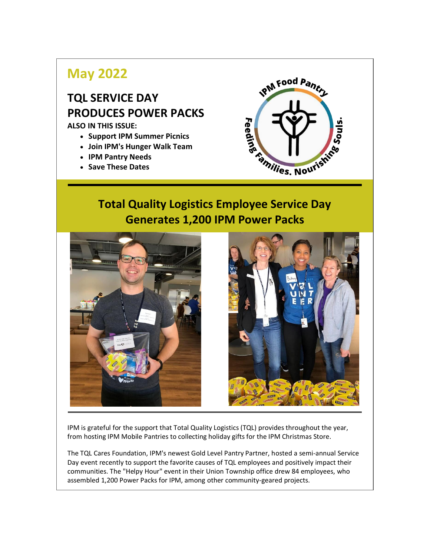# **May 2022**

# **TQL SERVICE DAY PRODUCES POWER PACKS**

**ALSO IN THIS ISSUE:**

- **Support IPM Summer Picnics**
- **Join IPM's Hunger Walk Team**
- **IPM Pantry Needs**
- **Save These Dates**



## **Total Quality Logistics Employee Service Day Generates 1,200 IPM Power Packs**





IPM is grateful for the support that Total Quality Logistics (TQL) provides throughout the year, from hosting IPM Mobile Pantries to collecting holiday gifts for the IPM Christmas Store.

The TQL Cares Foundation, IPM's newest Gold Level Pantry Partner, hosted a semi-annual Service Day event recently to support the favorite causes of TQL employees and positively impact their communities. The "Helpy Hour" event in their Union Township office drew 84 employees, who assembled 1,200 Power Packs for IPM, among other community-geared projects.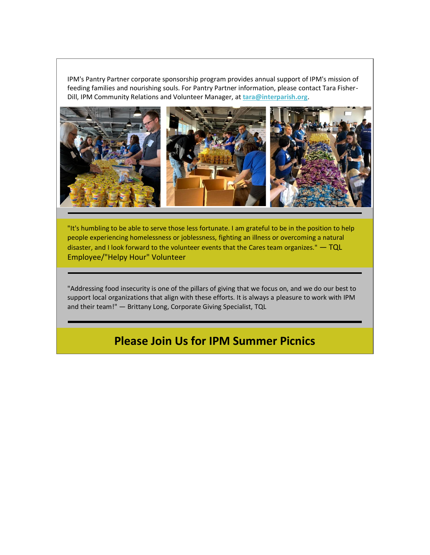IPM's Pantry Partner corporate sponsorship program provides annual support of IPM's mission of feeding families and nourishing souls. For Pantry Partner information, please contact Tara Fisher-Dill, IPM Community Relations and Volunteer Manager, at **[tara@interparish.org](mailto:tara@interparish.org)**[.](mailto:jess@interparish.org)



"It's humbling to be able to serve those less fortunate. I am grateful to be in the position to help people experiencing homelessness or joblessness, fighting an illness or overcoming a natural disaster, and I look forward to the volunteer events that the Cares team organizes." - TQL Employee/"Helpy Hour" Volunteer

"Addressing food insecurity is one of the pillars of giving that we focus on, and we do our best to support local organizations that align with these efforts. It is always a pleasure to work with IPM and their team!" — Brittany Long, Corporate Giving Specialist, TQL

### **Please Join Us for IPM Summer Picnics**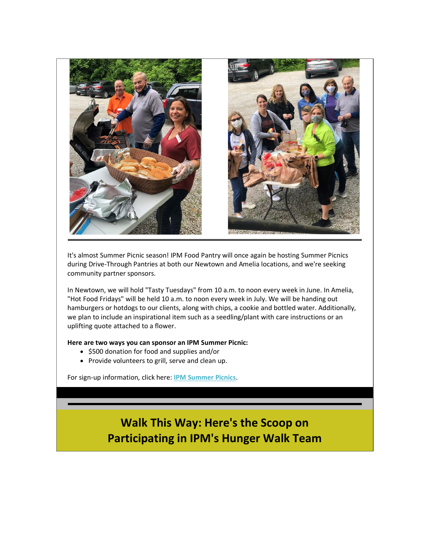

It's almost Summer Picnic season! IPM Food Pantry will once again be hosting Summer Picnics during Drive-Through Pantries at both our Newtown and Amelia locations, and we're seeking community partner sponsors.

In Newtown, we will hold "Tasty Tuesdays" from 10 a.m. to noon every week in June. In Amelia, "Hot Food Fridays" will be held 10 a.m. to noon every week in July. We will be handing out hamburgers or hotdogs to our clients, along with chips, a cookie and bottled water. Additionally, we plan to include an inspirational item such as a seedling/plant with care instructions or an uplifting quote attached to a flower.

#### **Here are two ways you can sponsor an IPM Summer Picnic:**

- \$500 donation for food and supplies and/or
- Provide volunteers to grill, serve and clean up.

For sign-up information, click here: **[IPM Summer Picnics](https://www.interparish.org/wp-content/uploads/2022/05/2022-Summer-Picnics-6.pdf)**.

## **Walk This Way: Here's the Scoop on Participating in IPM's Hunger Walk Team**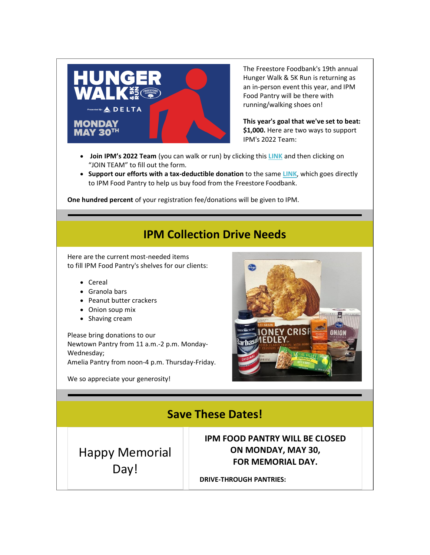

The Freestore Foodbank's 19th annual Hunger Walk & 5K Run is returning as an in-person event this year, and IPM Food Pantry will be there with running/walking shoes on!

**This year's goal that we've set to beat: \$1,000.** Here are two ways to support IPM's 2022 Team:

- **Join IPM's 2022 Team** (you can walk or run) by clicking this **[LINK](https://secure3.convio.net/fsfb/site/TR/HungerWalk/2022_Hunger_Walk?pg=team&fr_id=1460&team_id=12330)** and then clicking on "JOIN TEAM" to fill out the form.
- **Support our efforts with a tax-deductible donation** to the same **[LINK](https://secure3.convio.net/fsfb/site/TR/HungerWalk/2022_Hunger_Walk?pg=team&fr_id=1460&team_id=12330)**, which goes directly to IPM Food Pantry to help us buy food from the Freestore Foodbank.

**One hundred percent** of your registration fee/donations will be given to IPM.

### **IPM Collection Drive Needs**

Here are the current most-needed items to fill IPM Food Pantry's shelves for our clients:

- Cereal
- Granola bars
- Peanut butter crackers
- Onion soup mix
- Shaving cream

Please bring donations to our Newtown Pantry from 11 a.m.-2 p.m. Monday-Wednesday; Amelia Pantry from noon-4 p.m. Thursday-Friday.

We so appreciate your generosity!



### **Save These Dates!**

Happy Memorial Day!

**IPM FOOD PANTRY WILL BE CLOSED ON MONDAY, MAY 30, FOR MEMORIAL DAY.**

**DRIVE-THROUGH PANTRIES:**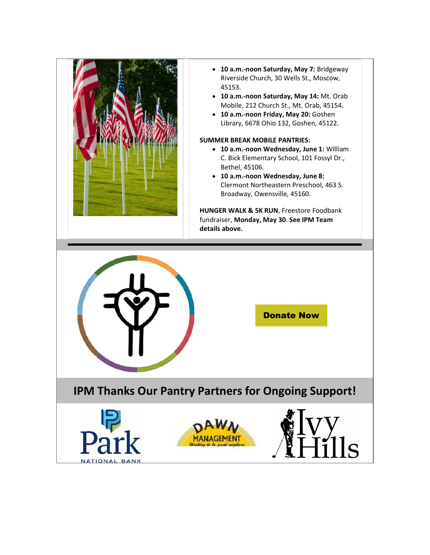

- **10 a.m.-noon Saturday, May 7:** Bridgeway Riverside Church, 30 Wells St., Moscow, 45153.
- **10 a.m.-noon Saturday, May 14:** Mt. Orab Mobile, 212 Church St., Mt. Orab, 45154.
- **10 a.m.-noon Friday, May 20:** Goshen Library, 6678 Ohio 132, Goshen, 45122.

#### **SUMMER BREAK MOBILE PANTRIES:**

- **10 a.m.-noon Wednesday, June 1:** William C. Bick Elementary School, 101 Fossyl Dr., Bethel, 45106.
- **10 a.m.-noon Wednesday, June 8:** Clermont Northeastern Preschool, 463 S. Broadway, Owensville, 45160.

**HUNGER WALK & 5K RUN**, Freestore Foodbank fundraiser, **Monday, May 30**. **See IPM Team details above.**





## **IPM Thanks Our Pantry Partners for Ongoing Support!**